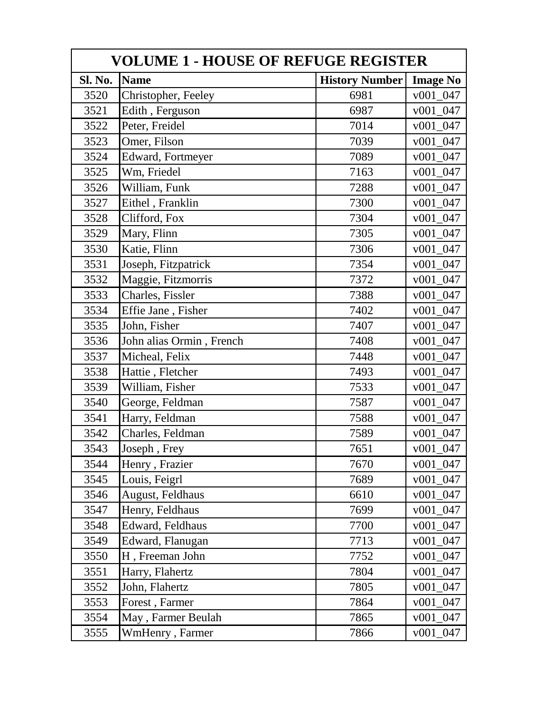| <b>VOLUME 1 - HOUSE OF REFUGE REGISTER</b> |                          |                       |                        |  |
|--------------------------------------------|--------------------------|-----------------------|------------------------|--|
| Sl. No.                                    | <b>Name</b>              | <b>History Number</b> | <b>Image No</b>        |  |
| 3520                                       | Christopher, Feeley      | 6981                  | v001 047               |  |
| 3521                                       | Edith, Ferguson          | 6987                  | v001 047               |  |
| 3522                                       | Peter, Freidel           | 7014                  | $v001_047$             |  |
| 3523                                       | Omer, Filson             | 7039                  | v001 047               |  |
| 3524                                       | Edward, Fortmeyer        | 7089                  | $v001_047$             |  |
| 3525                                       | Wm, Friedel              | 7163                  | v001 047               |  |
| 3526                                       | William, Funk            | 7288                  | v001 047               |  |
| 3527                                       | Eithel, Franklin         | 7300                  | $v001_047$             |  |
| 3528                                       | Clifford, Fox            | 7304                  | $v001_047$             |  |
| 3529                                       | Mary, Flinn              | 7305                  | v001 047               |  |
| 3530                                       | Katie, Flinn             | 7306                  | v001 047               |  |
| 3531                                       | Joseph, Fitzpatrick      | 7354                  | $v001_047$             |  |
| 3532                                       | Maggie, Fitzmorris       | 7372                  | v001 047               |  |
| 3533                                       | Charles, Fissler         | 7388                  | v001_047               |  |
| 3534                                       | Effie Jane, Fisher       | 7402                  | v001 047               |  |
| 3535                                       | John, Fisher             | 7407                  | v001 047               |  |
| 3536                                       | John alias Ormin, French | 7408                  | $v001_047$             |  |
| 3537                                       | Micheal, Felix           | 7448                  | v001 047               |  |
| 3538                                       | Hattie, Fletcher         | 7493                  | v001 047               |  |
| 3539                                       | William, Fisher          | 7533                  | $v001_047$             |  |
| 3540                                       | George, Feldman          | 7587                  | v001 047               |  |
| 3541                                       | Harry, Feldman           | 7588                  | v001 047               |  |
| 3542                                       | Charles, Feldman         | 7589                  | $v001_047$             |  |
| 3543                                       | Joseph, Frey             | 7651                  | v001 047               |  |
| 3544                                       | Henry, Frazier           | 7670                  | $v001_047$             |  |
| 3545                                       | Louis, Feigrl            | 7689                  | v001 047               |  |
| 3546                                       | August, Feldhaus         | 6610                  | v001 047               |  |
| 3547                                       | Henry, Feldhaus          | 7699                  | v001 047               |  |
| 3548                                       | Edward, Feldhaus         | 7700                  | v001 047               |  |
| 3549                                       | Edward, Flanugan         | 7713                  | 047<br>v001            |  |
| 3550                                       | H, Freeman John          | 7752                  | v001<br>047            |  |
| 3551                                       | Harry, Flahertz          | 7804                  | $v001_047$             |  |
| 3552                                       | John, Flahertz           | 7805                  | $v001_047$             |  |
| 3553                                       | Forest, Farmer           | 7864                  | $\frac{v001}{}$<br>047 |  |
| 3554                                       | May, Farmer Beulah       | 7865                  | $v001_047$             |  |
| 3555                                       | WmHenry, Farmer          | 7866                  | $v001_047$             |  |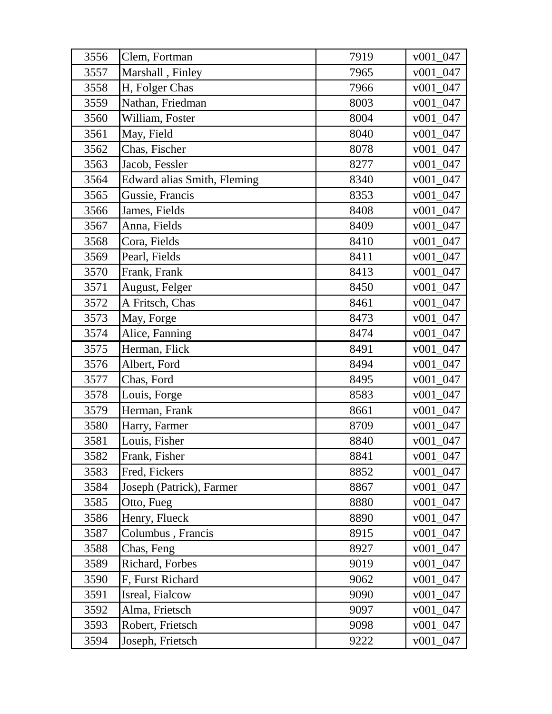| 3556 | Clem, Fortman               | 7919 | $v001_047$  |
|------|-----------------------------|------|-------------|
| 3557 | Marshall, Finley            | 7965 | $v001_047$  |
| 3558 | H, Folger Chas              | 7966 | $v001_047$  |
| 3559 | Nathan, Friedman            | 8003 | $v001_047$  |
| 3560 | William, Foster             | 8004 | v001 047    |
| 3561 | May, Field                  | 8040 | $v001_047$  |
| 3562 | Chas, Fischer               | 8078 | $v001\_047$ |
| 3563 | Jacob, Fessler              | 8277 | $v001_047$  |
| 3564 | Edward alias Smith, Fleming | 8340 | v001 047    |
| 3565 | Gussie, Francis             | 8353 | $v001_047$  |
| 3566 | James, Fields               | 8408 | $v001_047$  |
| 3567 | Anna, Fields                | 8409 | $v001_047$  |
| 3568 | Cora, Fields                | 8410 | $v001_047$  |
| 3569 | Pearl, Fields               | 8411 | $v001_047$  |
| 3570 | Frank, Frank                | 8413 | $v001_047$  |
| 3571 | August, Felger              | 8450 | $v001_047$  |
| 3572 | A Fritsch, Chas             | 8461 | v001 047    |
| 3573 | May, Forge                  | 8473 | $v001_047$  |
| 3574 | Alice, Fanning              | 8474 | v001 047    |
| 3575 | Herman, Flick               | 8491 | $v001_047$  |
| 3576 | Albert, Ford                | 8494 | $v001_047$  |
| 3577 | Chas, Ford                  | 8495 | $v001\_047$ |
| 3578 | Louis, Forge                | 8583 | $v001_047$  |
| 3579 | Herman, Frank               | 8661 | $v001_047$  |
| 3580 | Harry, Farmer               | 8709 | $v001_047$  |
| 3581 | Louis, Fisher               | 8840 | $v001_047$  |
| 3582 | Frank, Fisher               | 8841 | $v001\_047$ |
| 3583 | Fred, Fickers               | 8852 | $v001_047$  |
| 3584 | Joseph (Patrick), Farmer    | 8867 | $v001_047$  |
| 3585 | Otto, Fueg                  | 8880 | $v001_047$  |
| 3586 | Henry, Flueck               | 8890 | $v001_047$  |
| 3587 | Columbus, Francis           | 8915 | $v001_047$  |
| 3588 | Chas, Feng                  | 8927 | $v001_047$  |
| 3589 | Richard, Forbes             | 9019 | v001 047    |
| 3590 | F, Furst Richard            | 9062 | $v001_047$  |
| 3591 | Isreal, Fialcow             | 9090 | $v001_047$  |
| 3592 | Alma, Frietsch              | 9097 | $v001_047$  |
| 3593 | Robert, Frietsch            | 9098 | $v001_047$  |
| 3594 | Joseph, Frietsch            | 9222 | v001_047    |